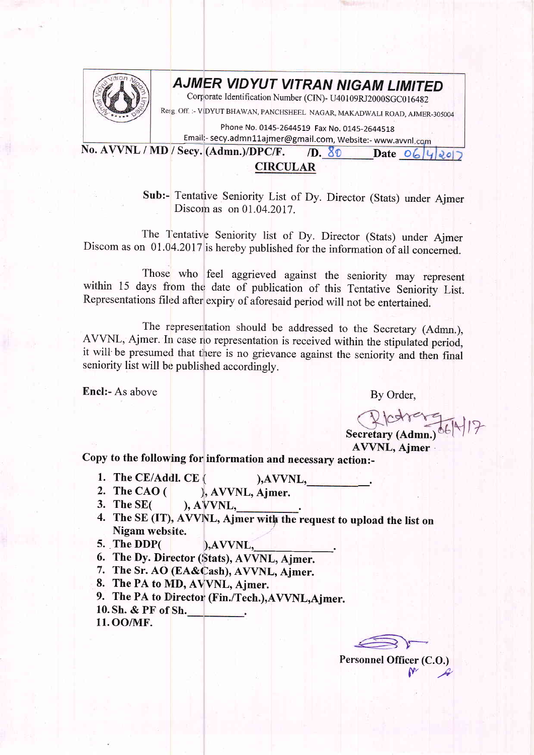

## **AJMER VIDYUT VITRAN NIGAM LIMITED**

Corporate Identification Number (CIN)- U40109RJ2000SGC016482

Resg. Off. :- VIDYUT BHAWAN, PANCHSHEEL NAGAR, MAKADWALI ROAD, AJMER-305004

Phone No. 0145-2644519 Fax No. 0145-2644518

No. AVVNL / MD / Secy. (Admn.)/DPC/F. /D.  $80$  Date  $06\frac{1}{4}$ Email:- secy.admn11ajmer@gmail.com, Website:- www.avvnl.com

## CIRCULAR

Sub:- Tentative Seniority List of Dy. Director (Stats) under Ajmer Discom as on 01.04.2017.

The Tentative Seniority list of Dy. Director (Stats) under Ajmer Discom as on  $01.04.2017$  is hereby published for the information of all concerned.

Those who feel aggrieved against the seniority may represent within 15 days from the date of publication of this Tentative Seniority List. Representations filed after expiry of aforesaid period will not be entertained.

The representation should be addressed to the Secretary (Admn.), AVVNL, Ajmer. In case no representation is received within the stipulated period, it will be presumed that there is no grievance against the seniority and then final seniority list will be published accordingly.

Encl:- As above

By Order,

Recretary (Admn.) 06/4/17

AVVNL, Aimer

copy to the following for information and necessary action:-

- 1. The CE/Addl. CE  $($  ), AVVNL, 2. The CAO  $($  ), AVVNL, Ajmer.<br>3. The SE $($  ), AVVNL,
- 
- 3. The SE( ), A'YVNL, .
- 4. The SE (IT), AVVNL, Ajmer with the request to upload the list on Nigam website.
- 5. The DDP( ), AVVNL,
- 6. The Dy. Director (Stats), AVVNL, Ajmer.
- 7. The Sr. AO (EA&Cash), AVVNL, Ajmer.
- 8. The PA to MD, AVVNL, Ajmer.
- 9. The PA to Director (Fin./Tech.), AVVNL, Ajmer.
- 10. Sh. & PF of Sh.
- 11. OO/MF.

Personnel Officer (C.O.)